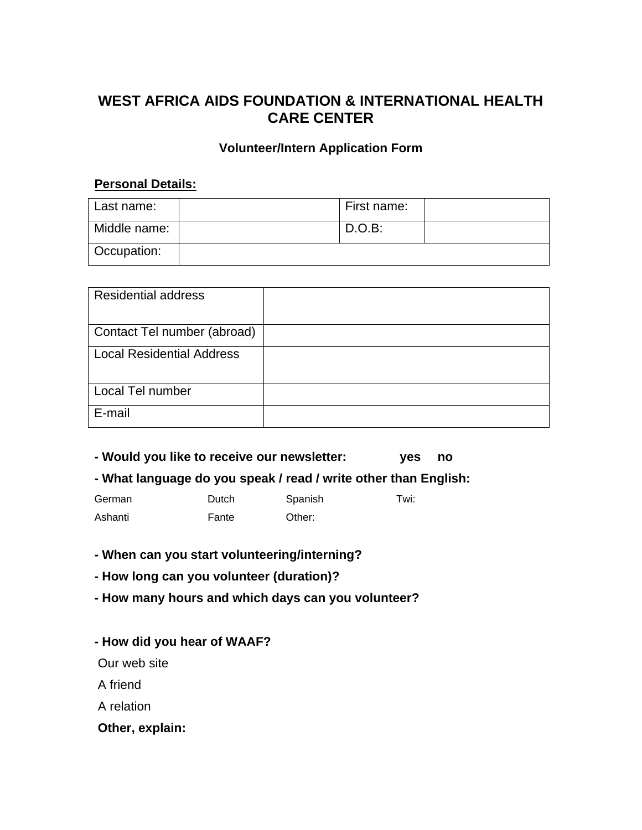# **WEST AFRICA AIDS FOUNDATION & INTERNATIONAL HEALTH CARE CENTER**

#### **Volunteer/Intern Application Form**

#### **Personal Details:**

| l Last name: | First name: |  |
|--------------|-------------|--|
| Middle name: | $D.O.B$ :   |  |
| Occupation:  |             |  |

| <b>Residential address</b>       |  |
|----------------------------------|--|
| Contact Tel number (abroad)      |  |
| <b>Local Residential Address</b> |  |
| Local Tel number                 |  |
| E-mail                           |  |

**- Would you like to receive our newsletter: yes no**

**- What language do you speak / read / write other than English:** 

German **Dutch** Spanish Twi: Ashanti **Fante** Other:

**- When can you start volunteering/interning?** 

**- How long can you volunteer (duration)?** 

**- How many hours and which days can you volunteer?**

**- How did you hear of WAAF?**

Our web site

A friend

A relation

**Other, explain:**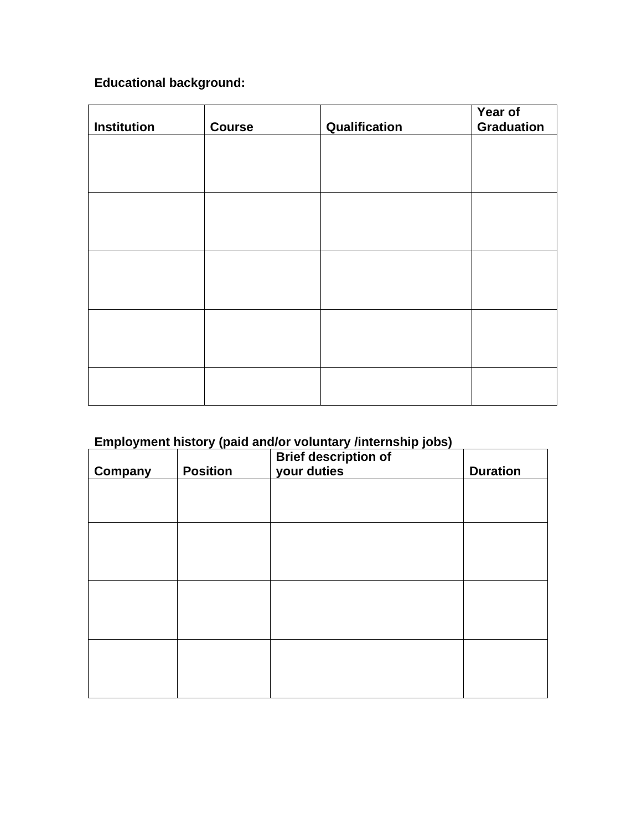# **Educational background:**

|                    |               |               | Year of           |
|--------------------|---------------|---------------|-------------------|
| <b>Institution</b> | <b>Course</b> | Qualification | <b>Graduation</b> |
|                    |               |               |                   |
|                    |               |               |                   |
|                    |               |               |                   |
|                    |               |               |                   |
|                    |               |               |                   |
|                    |               |               |                   |
|                    |               |               |                   |
|                    |               |               |                   |
|                    |               |               |                   |
|                    |               |               |                   |
|                    |               |               |                   |
|                    |               |               |                   |
|                    |               |               |                   |
|                    |               |               |                   |

# **Employment history (paid and/or voluntary /internship jobs)**

| <b>Company</b> | <b>Position</b> | <b>Brief description of</b><br>your duties | <b>Duration</b> |
|----------------|-----------------|--------------------------------------------|-----------------|
|                |                 |                                            |                 |
|                |                 |                                            |                 |
|                |                 |                                            |                 |
|                |                 |                                            |                 |
|                |                 |                                            |                 |
|                |                 |                                            |                 |
|                |                 |                                            |                 |
|                |                 |                                            |                 |
|                |                 |                                            |                 |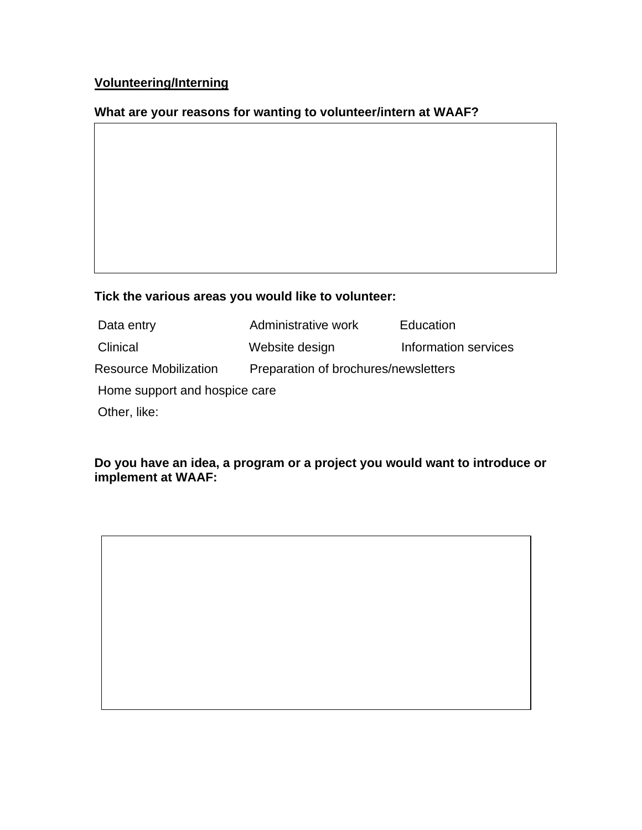# **Volunteering/Interning**

# **What are your reasons for wanting to volunteer/intern at WAAF?**

# **Tick the various areas you would like to volunteer:**

| Data entry                    | Administrative work                  | Education            |  |  |  |
|-------------------------------|--------------------------------------|----------------------|--|--|--|
| Clinical                      | Website design                       | Information services |  |  |  |
| <b>Resource Mobilization</b>  | Preparation of brochures/newsletters |                      |  |  |  |
| Home support and hospice care |                                      |                      |  |  |  |
| Other, like:                  |                                      |                      |  |  |  |

# **Do you have an idea, a program or a project you would want to introduce or implement at WAAF:**

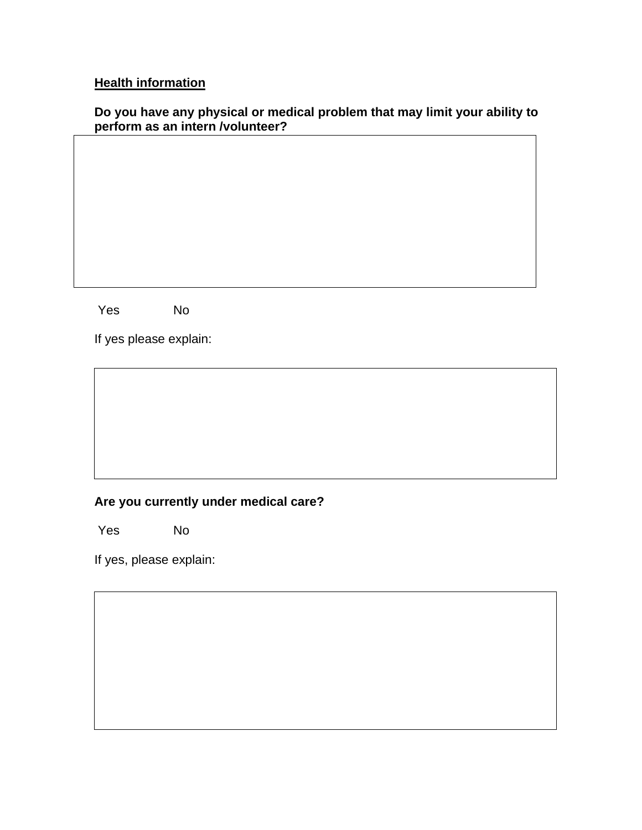# **Health information**

#### **Do you have any physical or medical problem that may limit your ability to perform as an intern /volunteer?**

Yes No

If yes please explain:

### **Are you currently under medical care?**

Yes No

If yes, please explain: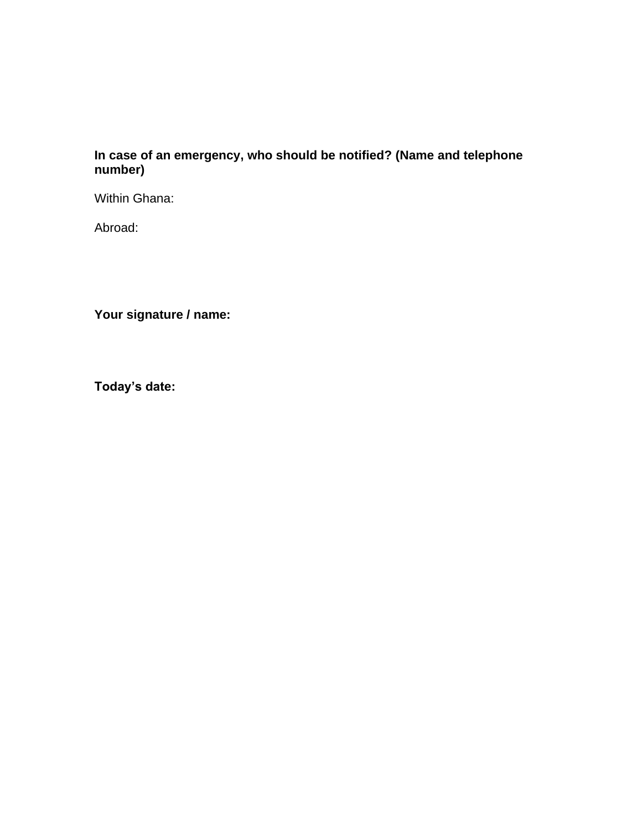### **In case of an emergency, who should be notified? (Name and telephone number)**

Within Ghana:

Abroad:

**Your signature / name:**

**Today's date:**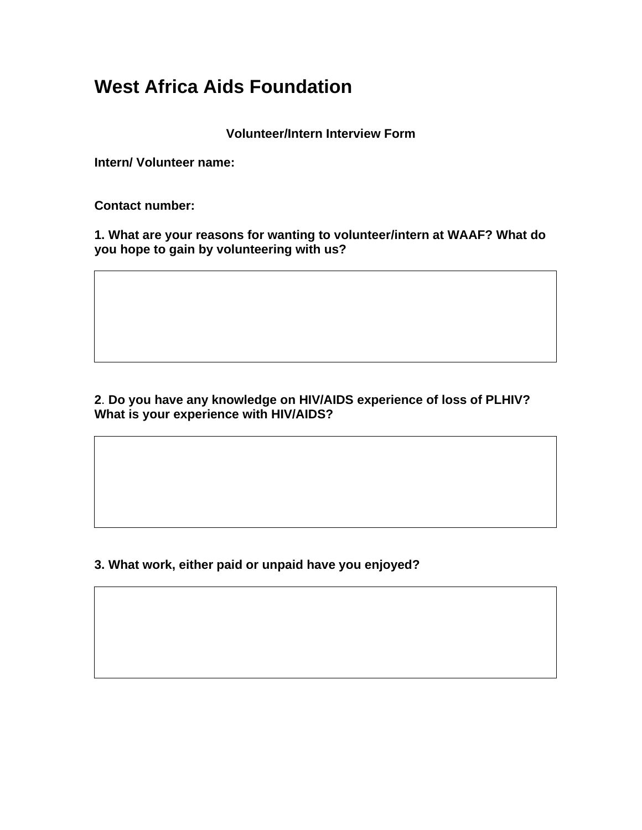# **West Africa Aids Foundation**

**Volunteer/Intern Interview Form**

**Intern/ Volunteer name:** 

**Contact number:**

**1. What are your reasons for wanting to volunteer/intern at WAAF? What do you hope to gain by volunteering with us?**

# **2**. **Do you have any knowledge on HIV/AIDS experience of loss of PLHIV? What is your experience with HIV/AIDS?**

**3. What work, either paid or unpaid have you enjoyed?**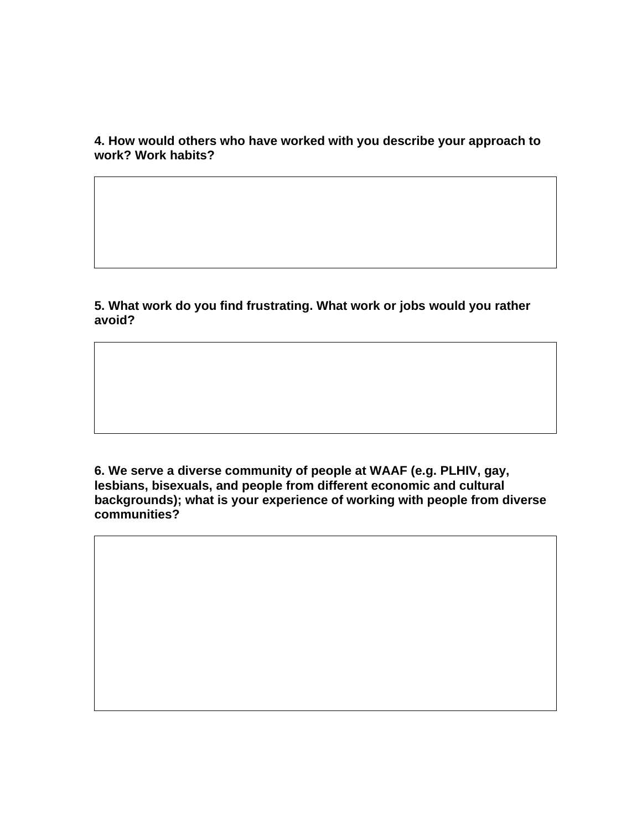**4. How would others who have worked with you describe your approach to work? Work habits?**

**5. What work do you find frustrating. What work or jobs would you rather avoid?**

**6. We serve a diverse community of people at WAAF (e.g. PLHIV, gay, lesbians, bisexuals, and people from different economic and cultural backgrounds); what is your experience of working with people from diverse communities?**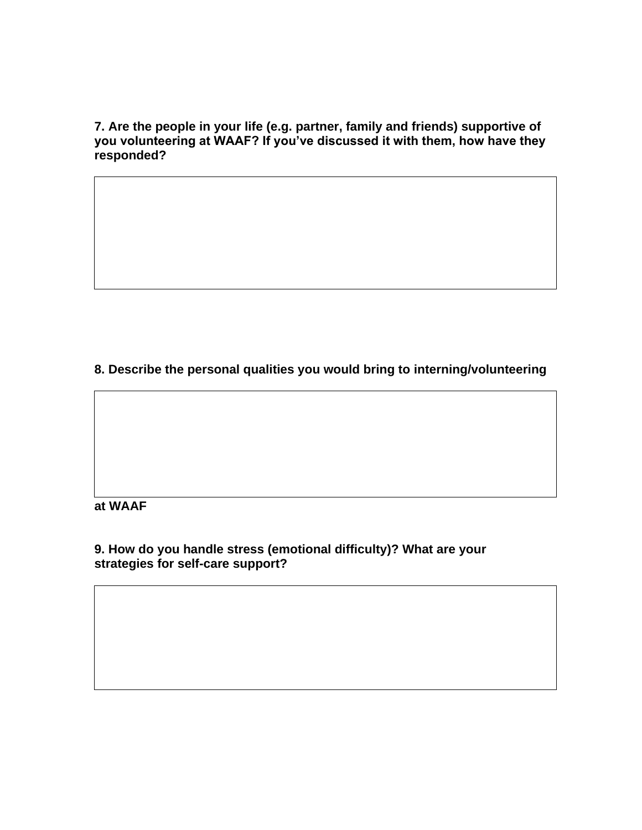**7. Are the people in your life (e.g. partner, family and friends) supportive of you volunteering at WAAF? If you've discussed it with them, how have they responded?**

**8. Describe the personal qualities you would bring to interning/volunteering** 

### **at WAAF**

**9. How do you handle stress (emotional difficulty)? What are your strategies for self-care support?**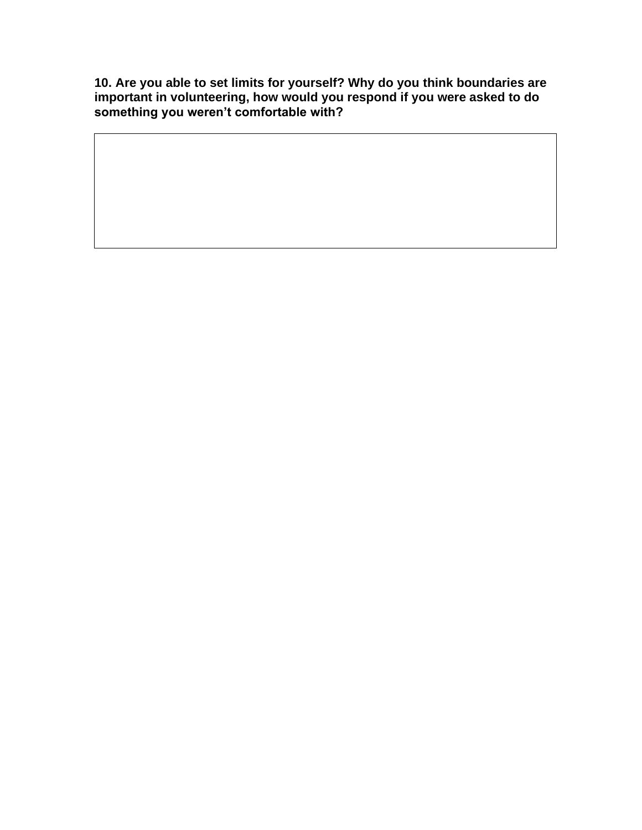**10. Are you able to set limits for yourself? Why do you think boundaries are important in volunteering, how would you respond if you were asked to do something you weren't comfortable with?**